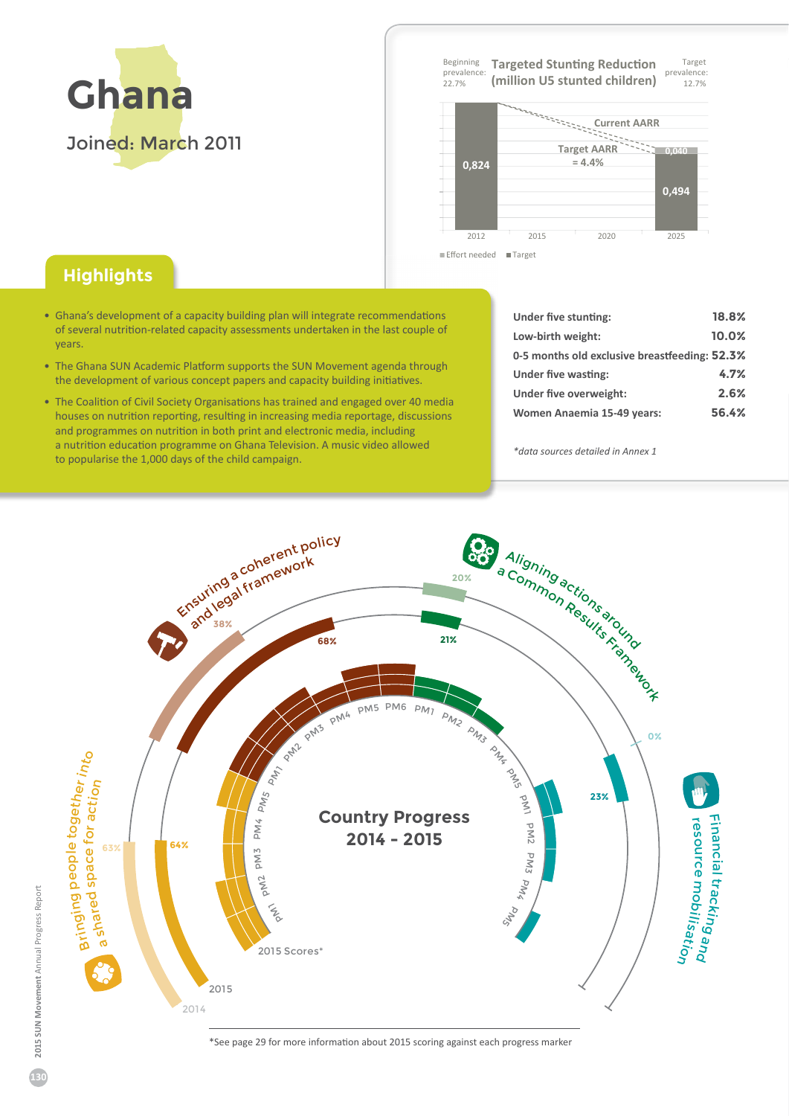

**Target** prevalence 12. 7 % Beginning prevalence 22. 7 % **Targeted Stunting Reduction (million U5 stunted children)**



## Effort needed **■ Targe**

## **Highlights**

- Ghana's development of a capacity building plan will integrate recommendations of several nutrition-related capacity assessments undertaken in the last couple of years.
- The Ghana SUN Academic Platform supports the SUN Movement agenda through the development of various concept papers and capacity building initiatives.
- The Coalition of Civil Society Organisations has trained and engaged over 40 media houses on nutrition reporting, resulting in increasing media reportage, discussions and programmes on nutrition in both print and electronic media, including a nutrition education programme on Ghana Television. A music video allowed to popularise the 1͕000 days of the child campaign.

| Under five stunting:                          | 18.8% |
|-----------------------------------------------|-------|
| Low-birth weight:                             | 10.0% |
| 0-5 months old exclusive breastfeeding: 52.3% |       |
| Under five wasting:                           | 4.7%  |
| Under five overweight:                        | 2.6%  |
| Women Anaemia 15-49 years:                    | 56.4% |

*\*data sources detailed in Annex 1*



ΎSee page 2ϵ for more information about 2015 scoring against each progress marker